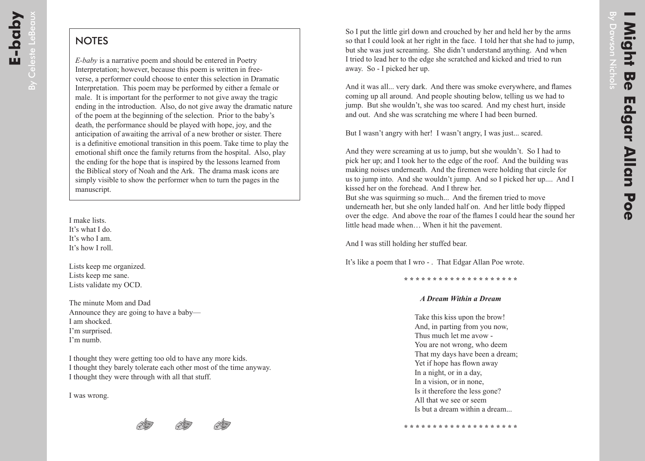## **NOTES**

*E-baby* is a narrative poem and should be entered in Poetry Interpretation; however, because this poem is written in freeverse, a performer could choose to enter this selection in Dramatic Interpretation. This poem may be performed by either a female or male. It is important for the performer to not give away the tragic ending in the introduction. Also, do not give away the dramatic nature of the poem at the beginning of the selection. Prior to the baby's death, the performance should be played with hope, joy, and the anticipation of awaiting the arrival of a new brother or sister. There is a definitive emotional transition in this poem. Take time to play the emotional shift once the family returns from the hospital. Also, play the ending for the hope that is inspired by the lessons learned from the Biblical story of Noah and the Ark. The drama mask icons are simply visible to show the performer when to turn the pages in the manuscript.

I make lists. It's what I do. It's who I am. It's how I roll.

Lists keep me organized. Lists keep me sane. Lists validate my OCD.

The minute Mom and Dad Announce they are going to have a baby— I am shocked. I'm surprised. I'm numb.

I thought they were getting too old to have any more kids. I thought they barely tolerate each other most of the time anyway. I thought they were through with all that stuff.

I was wrong.